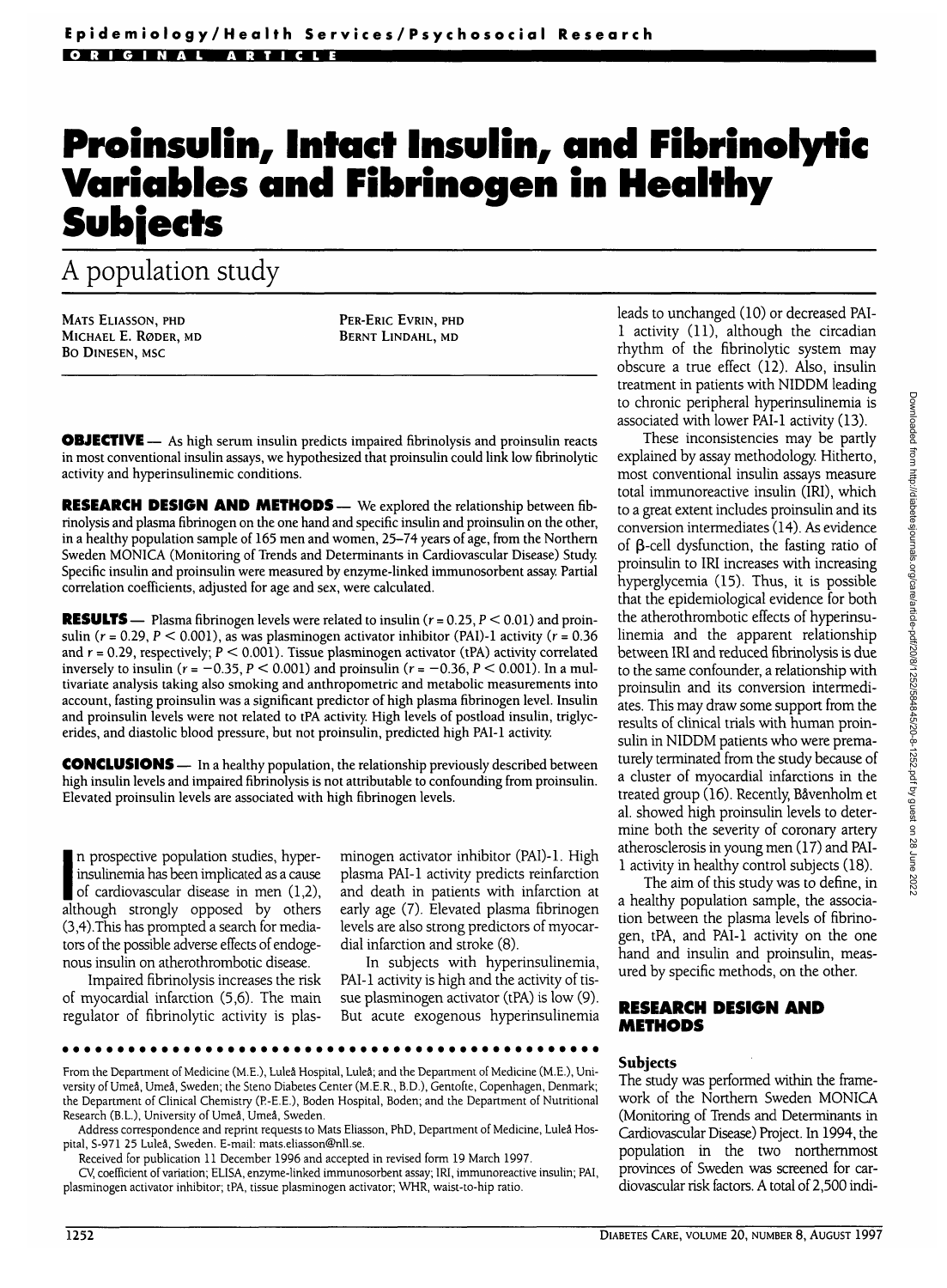# **Proinsulin, Intact Insulin, and Fibrinolyti Variables and Fibrinogen in Healthy Subjects**

# A population study

MATS ELIASSON, PHD MICHAEL E. RODER, MD BO DlNESEN, MSC

PER-ERIC EVRIN, PHD BERNT LINDAHL, MD

**OBJECTIVE** — As high serum insulin predicts impaired fibrinolysis and proinsulin reacts in most conventional insulin assays, we hypothesized that proinsulin could link low fibrinolytic activity and hyperinsulinemic conditions.

**RESEARCH DESIGN AND METHODS—** We explored the relationship between fibrinolysis and plasma fibrinogen on the one hand and specific insulin and proinsulin on the other, in a healthy population sample of 165 men and women, 25-74 years of age, from the Northern Sweden MONICA (Monitoring of Trends and Determinants in Cardiovascular Disease) Study Specific insulin and proinsulin were measured by enzyme-linked immunosorbent assay. Partial correlation coefficients, adjusted for age and sex, were calculated.

**RESULTS** — Plasma fibrinogen levels were related to insulin ( $r = 0.25$ ,  $P \le 0.01$ ) and proinsulin ( $r = 0.29$ ,  $P < 0.001$ ), as was plasminogen activator inhibitor (PAI)-1 activity ( $r = 0.36$ ) and  $r = 0.29$ , respectively;  $P \le 0.001$ ). Tissue plasminogen activator (tPA) activity correlated inversely to insulin ( $r = -0.35$ ,  $P < 0.001$ ) and proinsulin ( $r = -0.36$ ,  $P < 0.001$ ). In a multivariate analysis taking also smoking and anthropometric and metabolic measurements into account, fasting proinsulin was a significant predictor of high plasma fibrinogen level. Insulin and proinsulin levels were not related to tPA activity. High levels of postload insulin, triglycerides, and diastolic blood pressure, but not proinsulin, predicted high PAI-1 activity.

**CONCLUSIONS** — In a healthy population, the relationship previously described between high insulin levels and impaired fibrinolysis is not attributable to confounding from proinsulin. Elevated proinsulin levels are associated with high fibrinogen levels.

Insumerina has been implicated as a cause<br>of cardiovascular disease in men (1,2),<br>although strongly opposed by others n prospective population studies, hyperinsulinemia has been implicated as a cause of cardiovascular disease in men (1,2), (3,4).This has prompted a search for mediators of the possible adverse effects of endogenous insulin on atherothrombotic disease.

Impaired fibrinolysis increases the risk of myocardial infarction (5,6). The main regulator of fibrinolytic activity is plas-

minogen activator inhibitor (PAI)-l. High plasma PAI-1 activity predicts reinfarction and death in patients with infarction at early age (7). Elevated plasma fibrinogen levels are also strong predictors of myocardial infarction and stroke (8).

In subjects with hyperinsulinemia, PAI-1 activity is high and the activity of tissue plasminogen activator (tPA) is low (9). But acute exogenous hyperinsulinemia

From the Department of Medicine (M.E.), Luleå Hospital, Luleå; and the Department of Medicine (M.E.), University of Umea, Umea, Sweden; the Steno Diabetes Center (M.E.R., B.D.), Gentofte, Copenhagen, Denmark; the Department of Clinical Chemistry (R-E.E.), Boden Hospital, Boden; and the Department of Nutritional Research (B.L.), University of Umea, Umea, Sweden.

Address correspondence and reprint requests to Mats Eliasson, PhD, Department of Medicine, Lulea Hospital, S-971 25 Lulea, Sweden. E-mail: mats.eliasson@nll.se.

Received for publication 11 December 1996 and accepted in revised form 19 March 1997.

CV, coefficient of variation; ELISA, enzyme-linked immunosorbent assay; IRI, immunoreactive insulin; PAI, plasminogen activator inhibitor; tPA, tissue plasminogen activator; WHR, waist-to-hip ratio.

leads to unchanged (10) or decreased PAI-1 activity (11), although the circadian rhythm of the fibrinolytic system may obscure a true effect (12). Also, insulin treatment in patients with NIDDM leading to chronic peripheral hyperinsulinemia is associated with lower PAI-1 activity (13).

These inconsistencies may be partly explained by assay methodology. Hitherto, most conventional insulin assays measure total immunoreactive insulin (IRI), which to a great extent includes proinsulin and its conversion intermediates (14). As evidence of  $\beta$ -cell dysfunction, the fasting ratio of proinsulin to IRI increases with increasing hyperglycemia (15). Thus, it is possible that the epidemiological evidence for both the atherothrombotic effects of hyperinsulinemia and the apparent relationship between IRI and reduced fibrinolysis is due to the same confounder, a relationship with proinsulin and its conversion intermediates. This may draw some support from the results of clinical trials with human proinsulin in NIDDM patients who were prematurely terminated from the study because of a cluster of myocardial infarctions in the treated group (16). Recently, BaVenholm et al. showed high proinsulin levels to determine both the severity of coronary artery atherosclerosis in young men (17) and PAI-1 activity in healthy control subjects (18).

The aim of this study was to define, in a healthy population sample, the association between the plasma levels of fibrinogen, tPA, and PAI-1 activity on the one hand and insulin and proinsulin, measured by specific methods, on the other.

## **RESEARCH DESIGN AND METHODS**

#### **Subjects**

The study was performed within the framework of the Northern Sweden MONICA (Monitoring of Trends and Determinants in Cardiovascular Disease) Project. In 1994, the population in the two northernmost provinces of Sweden was screened for cardiovascular risk factors. A total of 2,500 indi-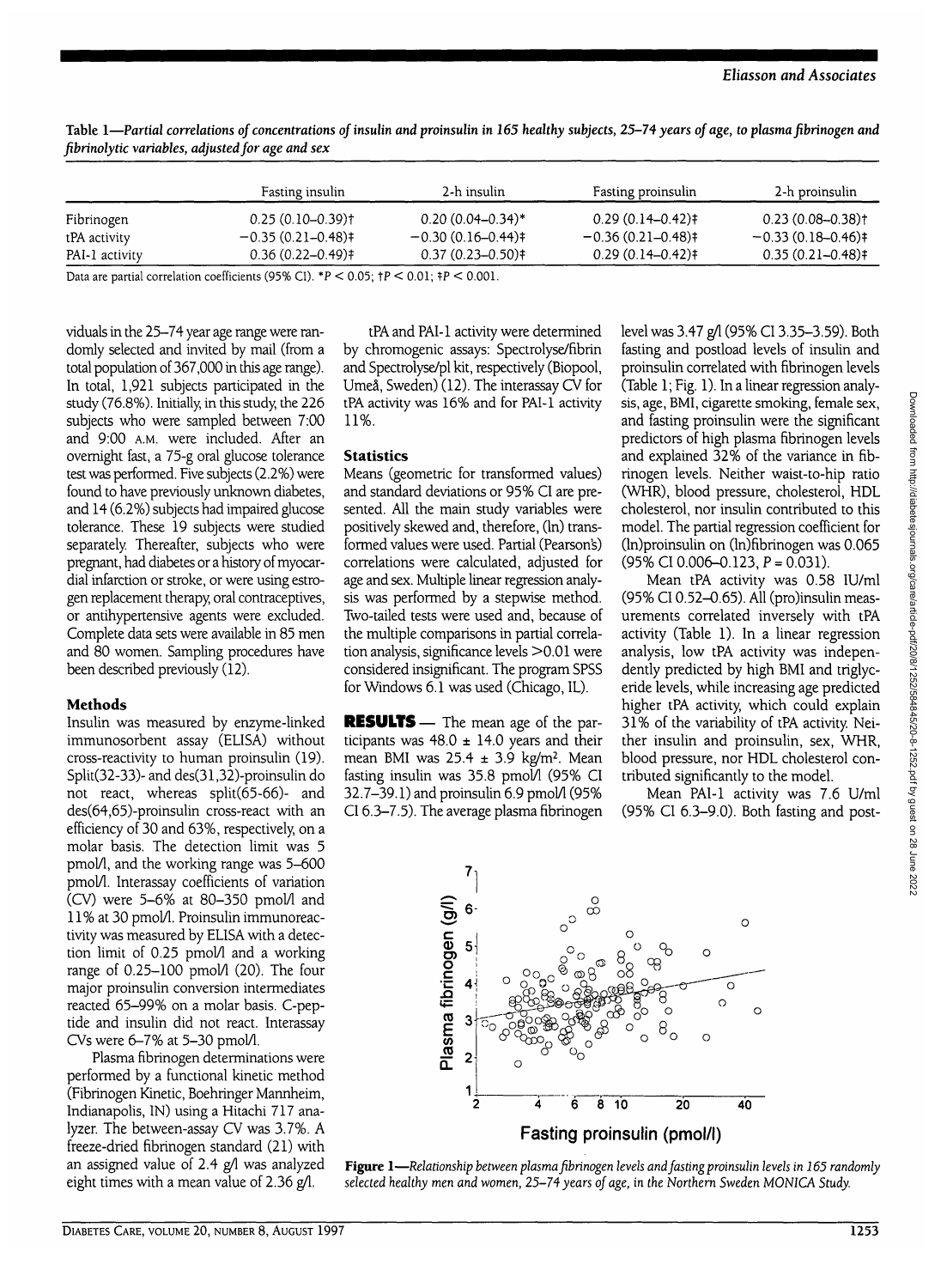|                | Fasting insulin                | 2-h insulin           | Fasting proinsulin  | 2-h proinsulin        |
|----------------|--------------------------------|-----------------------|---------------------|-----------------------|
| Fibrinogen     | $0.25(0.10-0.39)$ <sup>+</sup> | $0.20(0.04 - 0.34)^*$ | $0.29(0.14 - 0.42)$ | $0.23(0.08 - 0.38)$ t |
| tPA activity   | $-0.35(0.21-0.48)$             | $-0.30(0.16-0.44)$    | $-0.36(0.21-0.48)$  | $-0.33(0.18-0.46)$    |
| PAI-1 activity | $0.36(0.22 - 0.49)$            | $0.37(0.23 - 0.50)$ † | $0.29(0.14-0.42)$   | $0.35(0.21 - 0.48)$   |

**Table 1—***Partial correlations of concentrations of insulin and proinsulin in 165 healthy subjects, 25-74 years of age, to plasma fibrinogen and fibrinolytic variables, adjusted for age and sex*

Data are partial correlation coefficients (95% CI). \*  $P < 0.05$ ;  $\uparrow P < 0.01$ ;  $\uparrow P < 0.001$ .

viduals in the 25-74 year age range were randomly selected and invited by mail (from a total population of 367,000 in this age range). In total, 1,921 subjects participated in the study (76.8%). Initially, in this study, the 226 subjects who were sampled between 7:00 and 9:00 A.M. were included. After an overnight fast, a 75-g oral glucose tolerance test was performed. Five subjects (2.2%) were found to have previously unknown diabetes, and 14 (6.2%) subjects had impaired glucose tolerance. These 19 subjects were studied separately. Thereafter, subjects who were pregnant, had diabetes or a history of myocardial infarction or stroke, or were using estrogen replacement therapy, oral contraceptives, or antihypertensive agents were excluded. Complete data sets were available in 85 men and 80 women. Sampling procedures have been described previously (12).

#### **Methods**

Insulin was measured by enzyme-linked immunosorbent assay (ELISA) without cross-reactivity to human proinsulin (19). Split(32-33)- and des(31,32)-proinsulin do not react, whereas split(65-66)- and des(64,65)-proinsulin cross-react with an efficiency of 30 and 63%, respectively, on a molar basis. The detection limit was 5 pmol/1, and the working range was 5-600 pmol/l. Interassay coefficients of variation  $(CV)$  were 5-6% at 80-350 pmol/l and 11% at 30 pmol/1. Proinsulin immunoreactivity was measured by ELISA with a detection limit of 0.25 pmol/l and a working range of  $0.25-100$  pmol $/1$  (20). The four major proinsulin conversion intermediates reacted 65-99% on a molar basis. C-peptide and insulin did not react. Interassay CVs were 6-7% at 5-30 pmol/1.

Plasma fibrinogen determinations were performed by a functional kinetic method (Fibrinogen Kinetic, Boehringer Mannheim, Indianapolis, IN) using a Hitachi 717 analyzer. The between-assay CV was 3.7%. A freeze-dried fibrinogen standard (21) with an assigned value of 2.4  $g/l$  was analyzed eight times with a mean value of 2.36 g/1.

tPA and PAI-1 activity were determined by chromogenic assays: Spectrolyse/fibrin and Spectrolyse/pl kit, respectively (Biopool, Umeå, Sweden) (12). The interassay CV for tPA activity was 16% and for PAI-1 activity 11%.

#### **Statistics**

Means (geometric for transformed values) and standard deviations or 95% CI are presented. All the main study variables were positively skewed and, therefore, (In) transformed values were used. Partial (Pearsons) correlations were calculated, adjusted for age and sex. Multiple linear regression analysis was performed by a stepwise method. Two-tailed tests were used and, because of the multiple comparisons in partial correlation analysis, significance levels >0.01 were considered insignificant. The program SPSS for Windows 6.1 was used (Chicago, IL).

**RESULTS** — The mean age of the participants was  $48.0 \pm 14.0$  years and their mean BMI was  $25.4 \pm 3.9$  kg/m<sup>2</sup>. Mean fasting insulin was 35.8 pmol/l (95% CI  $32.7-39.1$ ) and proinsulin 6.9 pmol $\lambda$  (95%) CI 6.3-7.5). The average plasma fibrinogen

level was 3.47 g/1 (95% CI 3.35-3.59). Both fasting and postload levels of insulin and proinsulin correlated with fibrinogen levels (Table 1; Fig. 1). In a linear regression analysis, age, BMI, cigarette smoking, female sex, and fasting proinsulin were the significant predictors of high plasma fibrinogen levels and explained 32% of the variance in fibrinogen levels. Neither waist-to-hip ratio (WHR), blood pressure, cholesterol, HDL cholesterol, nor insulin contributed to this model. The partial regression coefficient for (ln)proinsulin on (ln)fibrinogen was 0.065  $(95\% \text{ CI } 0.006 - 0.123, P = 0.031).$ 

Mean tPA activity was 0.58 lU/ml (95% CI 0.52-0.65). All (pro)insulin measurements correlated inversely with tPA activity (Table 1). In a linear regression analysis, low tPA activity was independently predicted by high BMI and triglyceride levels, while increasing age predicted higher tPA activity, which could explain 31% of the variability of tPA activity. Neither insulin and proinsulin, sex, WHR, blood pressure, nor HDL cholesterol contributed significantly to the model.

Mean PAI-1 activity was 7.6 U/ml (95% CI 6.3-9.0). Both fasting and post-



**Figure 1**—*Relationship between plasma fibrinogen levels and fasting proinsulin levels in 165 randomly selected healthy men and women, 25-74 years of age, in the Northern* Sweden MONICA Study.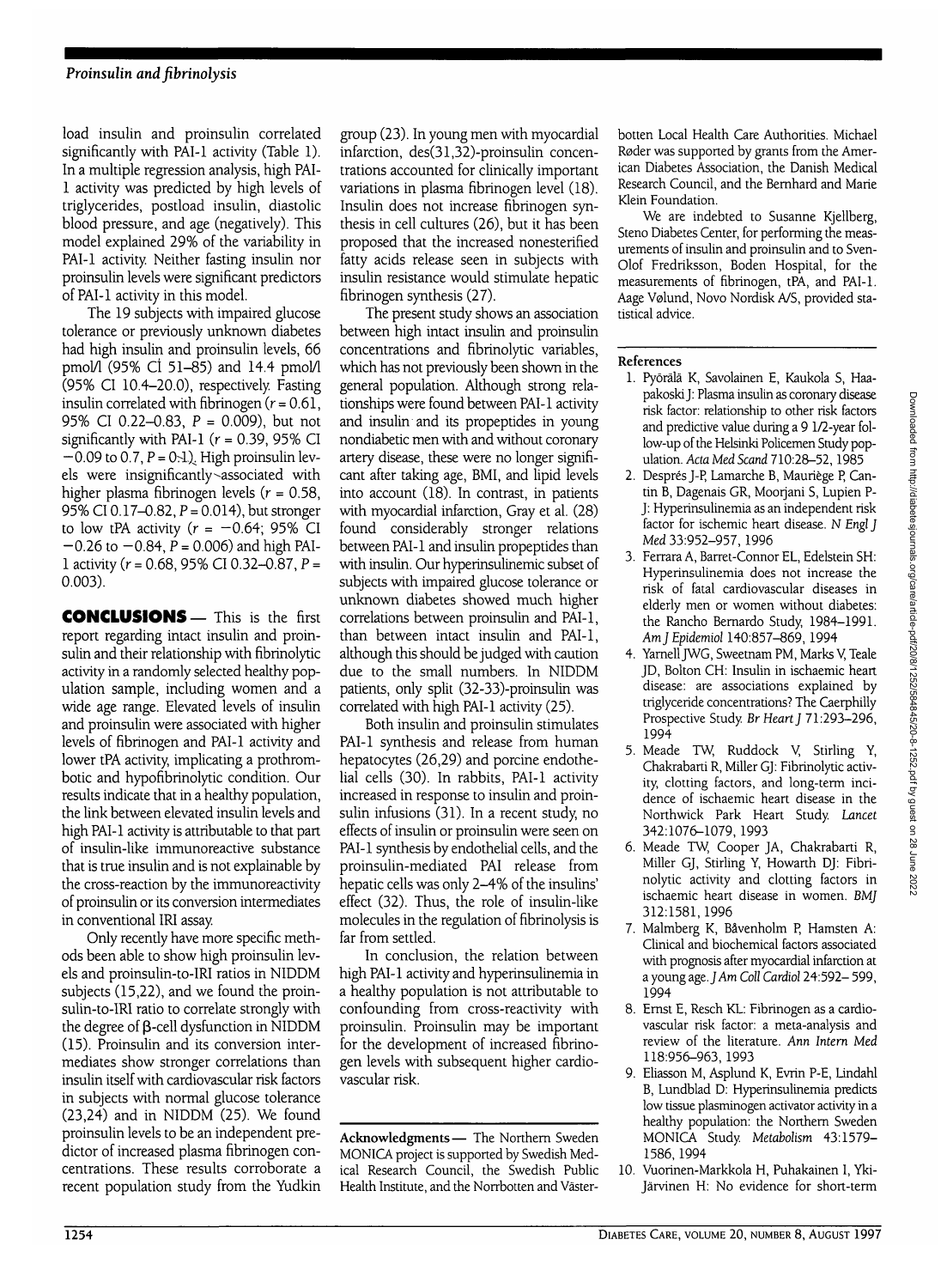load insulin and proinsulin correlated significantly with PAI-1 activity (Table 1). In a multiple regression analysis, high PAI-1 activity was predicted by high levels of triglycerides, postload insulin, diastolic blood pressure, and age (negatively). This model explained 29% of the variability in PAI-1 activity. Neither fasting insulin nor proinsulin levels were significant predictors of PAI-1 activity in this model.

The 19 subjects with impaired glucose tolerance or previously unknown diabetes had high insulin and proinsulin levels, 66 pmol/1 (95% CI 51-85) and 14.4 pmol/1 (95% CI 10.4-20.0), respectively. Fasting insulin correlated with fibrinogen  $(r = 0.61)$ , 95% CI 0.22-0.83, P = 0.009), but not significantly with PAI-1 ( $r = 0.39$ , 95% CI  $-0.09$  to 0.7,  $P = 0.1$ ). High proinsulin levels were insignificantly associated with higher plasma fibrinogen levels ( $r = 0.58$ , 95% CI 0.17-0.82, P = 0.014), but stronger to low tPA activity  $(r = -0.64; 95\% \text{ CI})$  $-0.26$  to  $-0.84$ ,  $P = 0.006$ ) and high PAI-1 activity ( $r = 0.68$ , 95% CI 0.32–0.87,  $P =$ 0.003).

**CONCLUSIONS—** This is the first report regarding intact insulin and proinsulin and their relationship with fibrinolytic activity in a randomly selected healthy population sample, including women and a wide age range. Elevated levels of insulin and proinsulin were associated with higher levels of fibrinogen and PAI-1 activity and lower tPA activity, implicating a prothrombotic and hypofibrinolytic condition. Our results indicate that in a healthy population, the link between elevated insulin levels and high PAI-1 activity is attributable to that part of insulin-like immunoreactive substance that is true insulin and is not explainable by the cross-reaction by the immunoreactivity of proinsulin or its conversion intermediates in conventional IRI assay.

Only recently have more specific methods been able to show high proinsulin levels and proinsulin-to-IRI ratios in NIDDM subjects (15,22), and we found the proinsulin-to-IRI ratio to correlate strongly with the degree of  $\beta$ -cell dysfunction in NIDDM (15). Proinsulin and its conversion intermediates show stronger correlations than insulin itself with cardiovascular risk factors in subjects with normal glucose tolerance  $(23,24)$  and in NIDDM  $(25)$ . We found proinsulin levels to be an independent predictor of increased plasma fibrinogen concentrations. These results corroborate a recent population study from the Yudkin group (23). In young men with myocardial infarction, des(31,32)-proinsulin concentrations accounted for clinically important variations in plasma fibrinogen level (18). Insulin does not increase fibrinogen synthesis in cell cultures (26), but it has been proposed that the increased nonesterified fatty acids release seen in subjects with insulin resistance would stimulate hepatic fibrinogen synthesis (27).

The present study shows an association between high intact insulin and proinsulin concentrations and fibrinolytic variables, which has not previously been shown in the general population. Although strong relationships were found between PAI-1 activity and insulin and its propeptides in young nondiabetic men with and without coronary artery disease, these were no longer significant after taking age, BMI, and lipid levels into account (18). In contrast, in patients with myocardial infarction, Gray et al. (28) found considerably stronger relations between PAI-1 and insulin propeptides than with insulin. Our hyperinsulinemic subset of subjects with impaired glucose tolerance or unknown diabetes showed much higher correlations between proinsulin and PAI-1, than between intact insulin and PAI-1, although this should be judged with caution due to the small numbers. In NIDDM patients, only split (32-33)-proinsulin was correlated with high PAI-1 activity (25).

Both insulin and proinsulin stimulates PAI-1 synthesis and release from human hepatocytes (26,29) and porcine endothelial cells (30). In rabbits, PAI-1 activity increased in response to insulin and proinsulin infusions (31). In a recent study, no effects of insulin or proinsulin were seen on PAI-1 synthesis by endothelial cells, and the proinsulin-mediated PAI release from hepatic cells was only 2-4% of the insulins' effect (32). Thus, the role of insulin-like molecules in the regulation of fibrinolysis is far from settled.

In conclusion, the relation between high PAI-1 activity and hyperinsulinemia in a healthy population is not attributable to confounding from cross-reactivity with proinsulin. Proinsulin may be important for the development of increased fibrinogen levels with subsequent higher cardiovascular risk.

**Acknowledgments**— The Northern Sweden MONICA project is supported by Swedish Medical Research Council, the Swedish Public Health Institute, and the Norrbotten and Vasterbotten Local Health Care Authorities. Michael Røder was supported by grants from the American Diabetes Association, the Danish Medical Research Council, and the Bernhard and Marie Klein Foundation.

We are indebted to Susanne Kjellberg, Steno Diabetes Center, for performing the measurements of insulin and proinsulin and to Sven-Olof Fredriksson, Boden Hospital, for the measurements of fibrinogen, tPA, and PAI-1. Aage Velund, Novo Nordisk A/S, provided statistical advice.

## **References**

- 1. Pyorala K, Savolainen E, Kaukola S, Haapakoski J: Plasma insulin as coronary disease risk factor: relationship to other risk factors and predictive value during a 9 1/2-year follow-up of the Helsinki Policemen Study population. *Ada Med Scand* 710:28-52,1985
- 2. Després J-P, Lamarche B, Mauriège P, Cantin B, Dagenais GR, Moorjani S, Lupien P-J: Hyperinsulinemia as an independent risk factor for ischemic heart disease. N Engl J *Med* 33:952-957, 1996
- 3. Ferrara A, Barret-Connor EL, Edelstein SH: Hyperinsulinemia does not increase the risk of fatal cardiovascular diseases in elderly men or women without diabetes: the Rancho Bernardo Study, 1984-1991. *Am] Epidemiol* 140:857-869, 1994
- 4. Yarnell JWG, Sweetnam PM, Marks V, Teale JD, Bolton CH: Insulin in ischaemic heart disease: are associations explained by triglyceride concentrations? The Caerphilly Prospective Study *Br Heart]* 71:293-296, 1994
- 5. Meade TW, Ruddock V, Stirling Y, Chakrabarti R, Miller GJ: Fibrinolytic activity, clotting factors, and long-term incidence of ischaemic heart disease in the Northwick Park Heart Study. *Lancet* 342:1076-1079, 1993
- 6. Meade TW, Cooper JA, Chakrabarti R, Miller GJ, Stirling Y, Howarth DJ: Fibrinolytic activity and clotting factors in ischaemic heart disease in women. *BMJ* 312:1581,1996
- 7. Malmberg K, Bavenholm P, Hamsten A: Clinical and biochemical factors associated with prognosis after myocardial infarction at a young age. *J Am Coll Cardiol* 24:592- 599, 1994
- 8. Ernst E, Resch KL: Fibrinogen as a cardiovascular risk factor: a meta-analysis and review of the literature. *Ann Intern Med* 118:956-963, 1993
- 9. Eliasson M, Asplund K, Evrin P-E, Iindahl B, Lundblad D: Hyperinsulinemia predicts low tissue plasminogen activator activity in a healthy population: the Northern Sweden MONICA Study. *Metabolism* 43:1579- 1586,1994
- 10. Vuorinen-Markkola H, Puhakainen I, Yki-Jarvinen H: No evidence for short-term